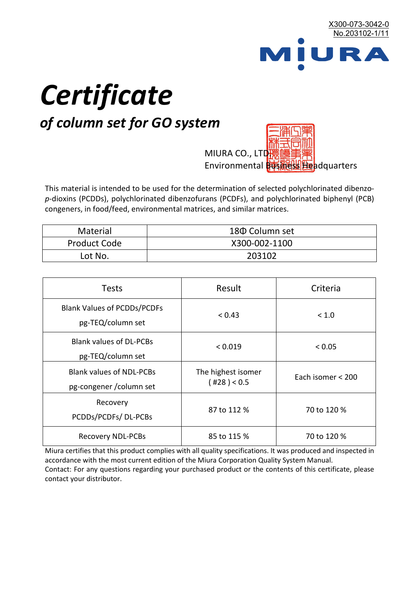

# *Certificate*

## *of column set for GO system*

MIURA CO., LTD Environmental **的福利图如** Headquarters

This material is intended to be used for the determination of selected polychlorinated dibenzo*p*-dioxins (PCDDs), polychlorinated dibenzofurans (PCDFs), and polychlorinated biphenyl (PCB) congeners, in food/feed, environmental matrices, and similar matrices.

| Material     | 180 Column set |  |
|--------------|----------------|--|
| Product Code | X300-002-1100  |  |
| Lot No.      | 203102         |  |

| <b>Tests</b>                                                | Result                            | Criteria          |  |
|-------------------------------------------------------------|-----------------------------------|-------------------|--|
| <b>Blank Values of PCDDs/PCDFs</b><br>pg-TEQ/column set     | < 0.43                            | < 1.0             |  |
| <b>Blank values of DL-PCBs</b><br>pg-TEQ/column set         | < 0.019                           | < 0.05            |  |
| <b>Blank values of NDL-PCBs</b><br>pg-congener / column set | The highest isomer<br>(428) < 0.5 | Each isomer < 200 |  |
| Recovery<br>PCDDs/PCDFs/DL-PCBs                             | 87 to 112 %                       | 70 to 120 %       |  |
| <b>Recovery NDL-PCBs</b>                                    | 85 to 115 %                       | 70 to 120 %       |  |

Miura certifies that this product complies with all quality specifications. It was produced and inspected in accordance with the most current edition of the Miura Corporation Quality System Manual. Contact: For any questions regarding your purchased product or the contents of this certificate, please contact your distributor.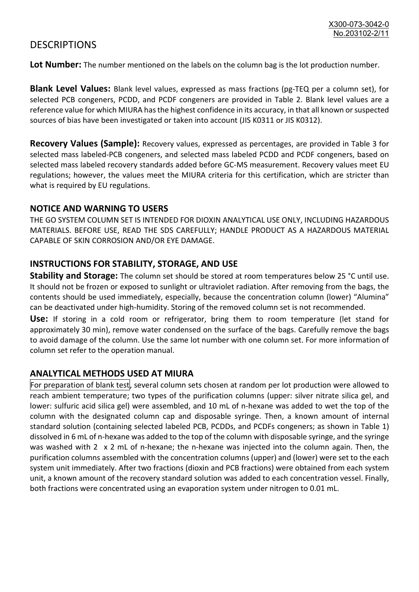### **DESCRIPTIONS**

**Lot Number:** The number mentioned on the labels on the column bag is the lot production number.

**Blank Level Values:** Blank level values, expressed as mass fractions (pg-TEQ per a column set), for selected PCB congeners, PCDD, and PCDF congeners are provided in Table 2. Blank level values are a reference value for which MIURA has the highest confidence in its accuracy, in that all known or suspected sources of bias have been investigated or taken into account (JIS K0311 or JIS K0312).

**Recovery Values (Sample):** Recovery values, expressed as percentages, are provided in Table 3 for selected mass labeled-PCB congeners, and selected mass labeled PCDD and PCDF congeners, based on selected mass labeled recovery standards added before GC-MS measurement. Recovery values meet EU regulations; however, the values meet the MIURA criteria for this certification, which are stricter than what is required by EU regulations.

#### **NOTICE AND WARNING TO USERS**

THE GO SYSTEM COLUMN SET IS INTENDED FOR DIOXIN ANALYTICAL USE ONLY, INCLUDING HAZARDOUS MATERIALS. BEFORE USE, READ THE SDS CAREFULLY; HANDLE PRODUCT AS A HAZARDOUS MATERIAL CAPABLE OF SKIN CORROSION AND/OR EYE DAMAGE.

#### **INSTRUCTIONS FOR STABILITY, STORAGE, AND USE**

**Stability and Storage:** The column set should be stored at room temperatures below 25 °C until use. It should not be frozen or exposed to sunlight or ultraviolet radiation. After removing from the bags, the contents should be used immediately, especially, because the concentration column (lower) "Alumina" can be deactivated under high-humidity. Storing of the removed column set is not recommended.

**Use:** If storing in a cold room or refrigerator, bring them to room temperature (let stand for approximately 30 min), remove water condensed on the surface of the bags. Carefully remove the bags to avoid damage of the column. Use the same lot number with one column set. For more information of column set refer to the operation manual.

#### **ANALYTICAL METHODS USED AT MIURA**

For preparation of blank test, several column sets chosen at random per lot production were allowed to reach ambient temperature; two types of the purification columns (upper: silver nitrate silica gel, and lower: sulfuric acid silica gel) were assembled, and 10 mL of n-hexane was added to wet the top of the column with the designated column cap and disposable syringe. Then, a known amount of internal standard solution (containing selected labeled PCB, PCDDs, and PCDFs congeners; as shown in Table 1) dissolved in 6 mL of n-hexane was added to the top of the column with disposable syringe, and the syringe was washed with 2 x 2 mL of n-hexane; the n-hexane was injected into the column again. Then, the purification columns assembled with the concentration columns (upper) and (lower) were set to the each system unit immediately. After two fractions (dioxin and PCB fractions) were obtained from each system unit, a known amount of the recovery standard solution was added to each concentration vessel. Finally, both fractions were concentrated using an evaporation system under nitrogen to 0.01 mL.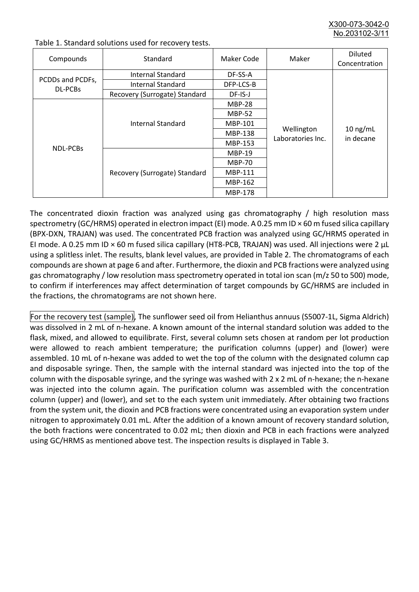X300-073-3042-0 No.203102-3/

| Compounds        | Standard                      | Maker Code     | Maker                           | <b>Diluted</b><br>Concentration |
|------------------|-------------------------------|----------------|---------------------------------|---------------------------------|
|                  | Internal Standard             | DF-SS-A        |                                 | $10$ ng/mL<br>in decane         |
| PCDDs and PCDFs, | <b>Internal Standard</b>      | DFP-LCS-B      |                                 |                                 |
| DL-PCBs          | Recovery (Surrogate) Standard | $DF$ -IS-J     | Wellington<br>Laboratories Inc. |                                 |
| NDL-PCBs         | Internal Standard             | <b>MBP-28</b>  |                                 |                                 |
|                  |                               | <b>MBP-52</b>  |                                 |                                 |
|                  |                               | MBP-101        |                                 |                                 |
|                  |                               | <b>MBP-138</b> |                                 |                                 |
|                  |                               | MBP-153        |                                 |                                 |
|                  | Recovery (Surrogate) Standard | <b>MBP-19</b>  |                                 |                                 |
|                  |                               | <b>MBP-70</b>  |                                 |                                 |
|                  |                               | MBP-111        |                                 |                                 |
|                  |                               | MBP-162        |                                 |                                 |
|                  |                               | <b>MBP-178</b> |                                 |                                 |

Table 1. Standard solutions used for recovery tests.

The concentrated dioxin fraction was analyzed using gas chromatography / high resolution mass spectrometry (GC/HRMS) operated in electron impact (EI) mode. A 0.25 mm ID × 60 m fused silica capillary (BPX-DXN, TRAJAN) was used. The concentrated PCB fraction was analyzed using GC/HRMS operated in EI mode. A 0.25 mm ID × 60 m fused silica capillary (HT8-PCB, TRAJAN) was used. All injections were 2 μL using a splitless inlet. The results, blank level values, are provided in Table 2. The chromatograms of each compounds are shown at page 6 and after. Furthermore, the dioxin and PCB fractions were analyzed using gas chromatography / low resolution mass spectrometry operated in total ion scan (m/z 50 to 500) mode, to confirm if interferences may affect determination of target compounds by GC/HRMS are included in the fractions, the chromatograms are not shown here.

For the recovery test (sample), The sunflower seed oil from Helianthus annuus (S5007-1L, Sigma Aldrich) was dissolved in 2 mL of n-hexane. A known amount of the internal standard solution was added to the flask, mixed, and allowed to equilibrate. First, several column sets chosen at random per lot production were allowed to reach ambient temperature; the purification columns (upper) and (lower) were assembled. 10 mL of n-hexane was added to wet the top of the column with the designated column cap and disposable syringe. Then, the sample with the internal standard was injected into the top of the column with the disposable syringe, and the syringe was washed with 2 x 2 mL of n-hexane; the n-hexane was injected into the column again. The purification column was assembled with the concentration column (upper) and (lower), and set to the each system unit immediately. After obtaining two fractions from the system unit, the dioxin and PCB fractions were concentrated using an evaporation system under nitrogen to approximately 0.01 mL. After the addition of a known amount of recovery standard solution, the both fractions were concentrated to 0.02 mL; then dioxin and PCB in each fractions were analyzed using GC/HRMS as mentioned above test. The inspection results is displayed in Table 3.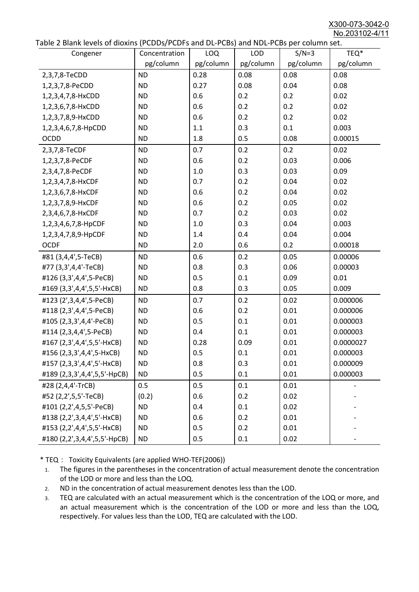X300-073-3042-0 No.203102-4/11

|  |  | Table 2 Blank levels of dioxins (PCDDs/PCDFs and DL-PCBs) and NDL-PCBs per column set. |
|--|--|----------------------------------------------------------------------------------------|
|--|--|----------------------------------------------------------------------------------------|

| able 2 Diarik levels of dioxins (FCDD3/FCDF3 and DL-FCD3) and NDL-FCD3 per column set.<br>Congener | Concentration | LOQ       | <b>LOD</b> | $S/N=3$   | TEQ*      |
|----------------------------------------------------------------------------------------------------|---------------|-----------|------------|-----------|-----------|
|                                                                                                    | pg/column     | pg/column | pg/column  | pg/column | pg/column |
| 2,3,7,8-TeCDD                                                                                      | <b>ND</b>     | 0.28      | 0.08       | 0.08      | 0.08      |
| 1,2,3,7,8-PeCDD                                                                                    | <b>ND</b>     | 0.27      | 0.08       | 0.04      | 0.08      |
| 1,2,3,4,7,8-HxCDD                                                                                  | <b>ND</b>     | 0.6       | 0.2        | 0.2       | 0.02      |
| 1,2,3,6,7,8-HxCDD                                                                                  | <b>ND</b>     | 0.6       | 0.2        | 0.2       | 0.02      |
| 1,2,3,7,8,9-HxCDD                                                                                  | <b>ND</b>     | 0.6       | 0.2        | 0.2       | 0.02      |
| 1,2,3,4,6,7,8-HpCDD                                                                                | <b>ND</b>     | 1.1       | 0.3        | 0.1       | 0.003     |
| <b>OCDD</b>                                                                                        | <b>ND</b>     | 1.8       | 0.5        | 0.08      | 0.00015   |
| 2,3,7,8-TeCDF                                                                                      | <b>ND</b>     | 0.7       | 0.2        | 0.2       | 0.02      |
| 1,2,3,7,8-PeCDF                                                                                    | <b>ND</b>     | 0.6       | 0.2        | 0.03      | 0.006     |
| 2,3,4,7,8-PeCDF                                                                                    | <b>ND</b>     | 1.0       | 0.3        | 0.03      | 0.09      |
| 1,2,3,4,7,8-HxCDF                                                                                  | <b>ND</b>     | 0.7       | 0.2        | 0.04      | 0.02      |
| 1,2,3,6,7,8-HxCDF                                                                                  | <b>ND</b>     | 0.6       | 0.2        | 0.04      | 0.02      |
| 1,2,3,7,8,9-HxCDF                                                                                  | <b>ND</b>     | 0.6       | 0.2        | 0.05      | 0.02      |
| 2,3,4,6,7,8-HxCDF                                                                                  | <b>ND</b>     | 0.7       | 0.2        | 0.03      | 0.02      |
| 1,2,3,4,6,7,8-HpCDF                                                                                | <b>ND</b>     | 1.0       | 0.3        | 0.04      | 0.003     |
| 1,2,3,4,7,8,9-HpCDF                                                                                | <b>ND</b>     | 1.4       | 0.4        | 0.04      | 0.004     |
| <b>OCDF</b>                                                                                        | <b>ND</b>     | 2.0       | 0.6        | 0.2       | 0.00018   |
| #81 (3,4,4',5-TeCB)                                                                                | <b>ND</b>     | 0.6       | 0.2        | 0.05      | 0.00006   |
| #77 (3,3',4,4'-TeCB)                                                                               | <b>ND</b>     | 0.8       | 0.3        | 0.06      | 0.00003   |
| #126 (3,3',4,4',5-PeCB)                                                                            | <b>ND</b>     | 0.5       | 0.1        | 0.09      | 0.01      |
| #169 (3,3',4,4',5,5'-HxCB)                                                                         | <b>ND</b>     | 0.8       | 0.3        | 0.05      | 0.009     |
| #123 (2',3,4,4',5-PeCB)                                                                            | <b>ND</b>     | 0.7       | 0.2        | 0.02      | 0.000006  |
| #118 (2,3',4,4',5-PeCB)                                                                            | <b>ND</b>     | 0.6       | 0.2        | 0.01      | 0.000006  |
| #105 (2,3,3',4,4'-PeCB)                                                                            | <b>ND</b>     | 0.5       | 0.1        | 0.01      | 0.000003  |
| #114 (2,3,4,4',5-PeCB)                                                                             | <b>ND</b>     | 0.4       | 0.1        | 0.01      | 0.000003  |
| #167 (2,3',4,4',5,5'-HxCB)                                                                         | <b>ND</b>     | 0.28      | 0.09       | 0.01      | 0.0000027 |
| #156 (2,3,3',4,4',5-HxCB)                                                                          | <b>ND</b>     | 0.5       | 0.1        | 0.01      | 0.000003  |
| #157 (2,3,3',4,4',5'-HxCB)                                                                         | <b>ND</b>     | 0.8       | 0.3        | 0.01      | 0.000009  |
| #189 (2,3,3',4,4',5,5'-HpCB)                                                                       | <b>ND</b>     | 0.5       | 0.1        | 0.01      | 0.000003  |
| #28 (2,4,4'-TrCB)                                                                                  | 0.5           | 0.5       | 0.1        | 0.01      |           |
| #52 (2,2',5,5'-TeCB)                                                                               | (0.2)         | 0.6       | 0.2        | 0.02      |           |
| #101 (2,2',4,5,5'-PeCB)                                                                            | <b>ND</b>     | 0.4       | 0.1        | 0.02      |           |
| #138 (2,2',3,4,4',5'-HxCB)                                                                         | <b>ND</b>     | 0.6       | 0.2        | 0.01      |           |
| #153 (2,2',4,4',5,5'-HxCB)                                                                         | <b>ND</b>     | 0.5       | 0.2        | 0.01      |           |
| #180 (2,2',3,4,4',5,5'-HpCB)                                                                       | <b>ND</b>     | 0.5       | 0.1        | 0.02      |           |

\* TEQ: Toxicity Equivalents (are applied WHO-TEF(2006))

- 1. The figures in the parentheses in the concentration of actual measurement denote the concentration of the LOD or more and less than the LOQ.
- 2. ND in the concentration of actual measurement denotes less than the LOD.
- 3. TEQ are calculated with an actual measurement which is the concentration of the LOQ or more, and an actual measurement which is the concentration of the LOD or more and less than the LOQ, respectively. For values less than the LOD, TEQ are calculated with the LOD.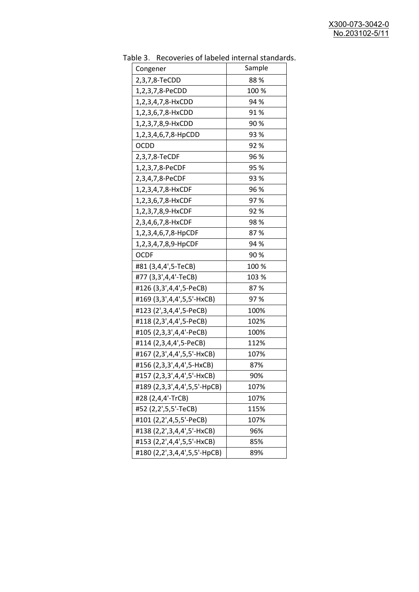| uwic<br>Recoveries of fabeled filtering startage<br>Congener | Sample |
|--------------------------------------------------------------|--------|
| 2,3,7,8-TeCDD                                                | 88%    |
| 1,2,3,7,8-PeCDD                                              | 100 %  |
| 1,2,3,4,7,8-HxCDD                                            | 94 %   |
| 1,2,3,6,7,8-HxCDD                                            | 91%    |
| 1,2,3,7,8,9-HxCDD                                            | 90%    |
| 1,2,3,4,6,7,8-HpCDD                                          | 93 %   |
| <b>OCDD</b>                                                  | 92%    |
|                                                              | 96 %   |
| 2,3,7,8-TeCDF                                                |        |
| 1,2,3,7,8-PeCDF                                              | 95 %   |
| 2,3,4,7,8-PeCDF                                              | 93%    |
| 1,2,3,4,7,8-HxCDF                                            | 96 %   |
| 1,2,3,6,7,8-HxCDF                                            | 97%    |
| 1,2,3,7,8,9-HxCDF                                            | 92%    |
| 2,3,4,6,7,8-HxCDF                                            | 98%    |
| 1,2,3,4,6,7,8-HpCDF                                          | 87%    |
| 1,2,3,4,7,8,9-HpCDF                                          | 94 %   |
| <b>OCDF</b>                                                  | 90%    |
| #81 (3,4,4',5-TeCB)                                          | 100 %  |
| #77 (3,3',4,4'-TeCB)                                         | 103 %  |
| #126 (3,3',4,4',5-PeCB)                                      | 87%    |
| #169 (3,3',4,4',5,5'-HxCB)                                   | 97%    |
| #123 (2',3,4,4',5-PeCB)                                      | 100%   |
| #118 (2,3',4,4',5-PeCB)                                      | 102%   |
| #105 (2,3,3',4,4'-PeCB)                                      | 100%   |
| #114 (2,3,4,4',5-PeCB)                                       | 112%   |
| #167 (2,3',4,4',5,5'-HxCB)                                   | 107%   |
| #156 (2,3,3',4,4',5-HxCB)                                    | 87%    |
| #157 (2,3,3',4,4',5'-HxCB)                                   | 90%    |
| #189 (2,3,3',4,4',5,5'-HpCB)                                 | 107%   |
| #28 (2,4,4'-TrCB)                                            | 107%   |
| #52 (2,2',5,5'-TeCB)                                         | 115%   |
| #101 (2,2',4,5,5'-PeCB)                                      | 107%   |
| #138 (2,2',3,4,4',5'-HxCB)                                   | 96%    |
| #153 (2,2',4,4',5,5'-HxCB)                                   | 85%    |
| #180 (2,2',3,4,4',5,5'-HpCB)                                 | 89%    |
|                                                              |        |

Table 3. Recoveries of labeled internal standards.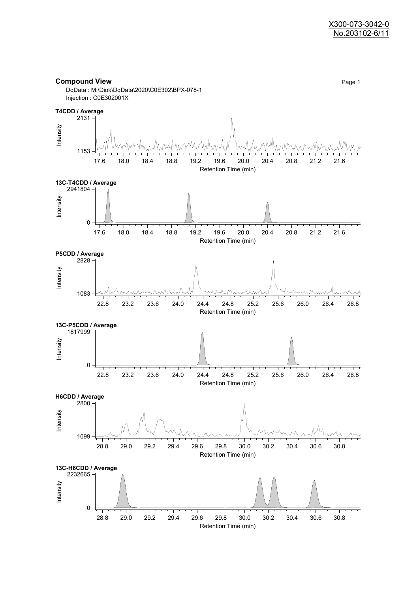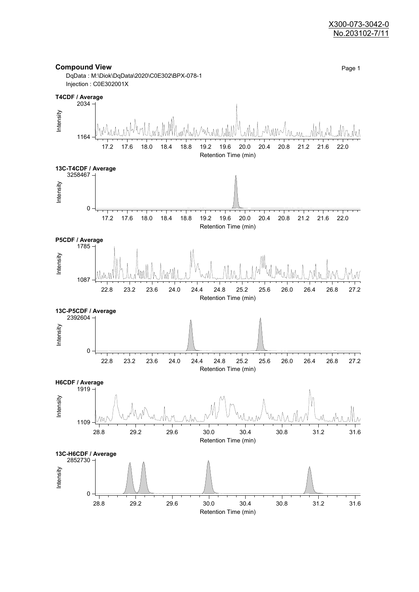#### X300-073-3042-0 No.203102-7/11

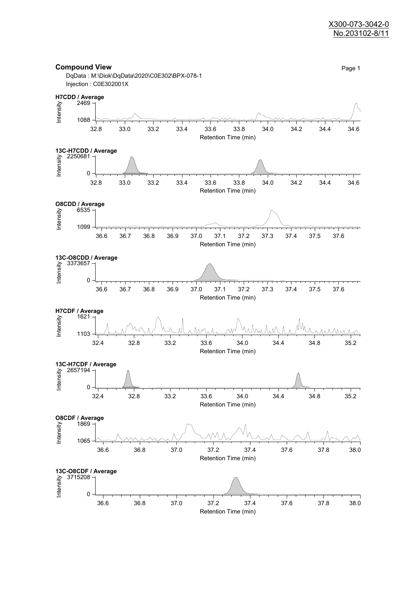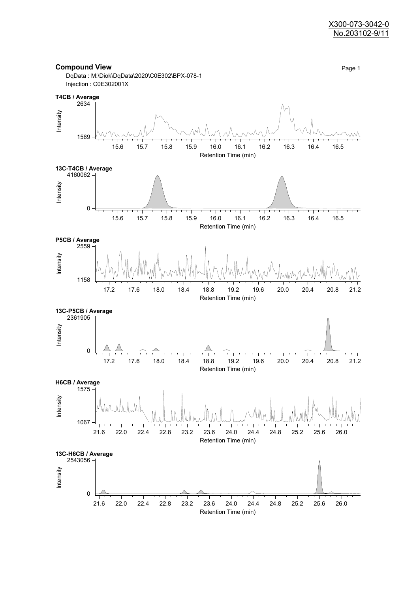

DqData : M:\Diok\DqData\2020\C0E302\BPX-078-1



**Compound View** Page 1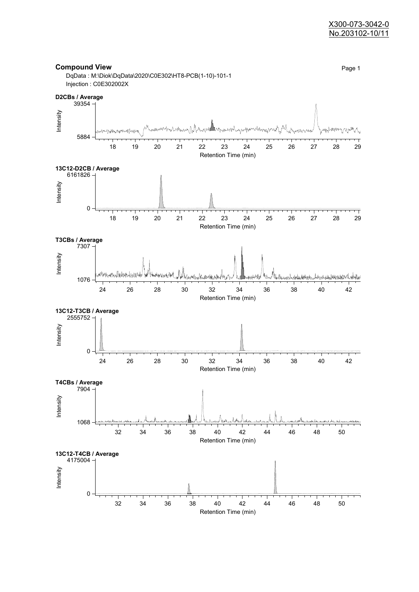